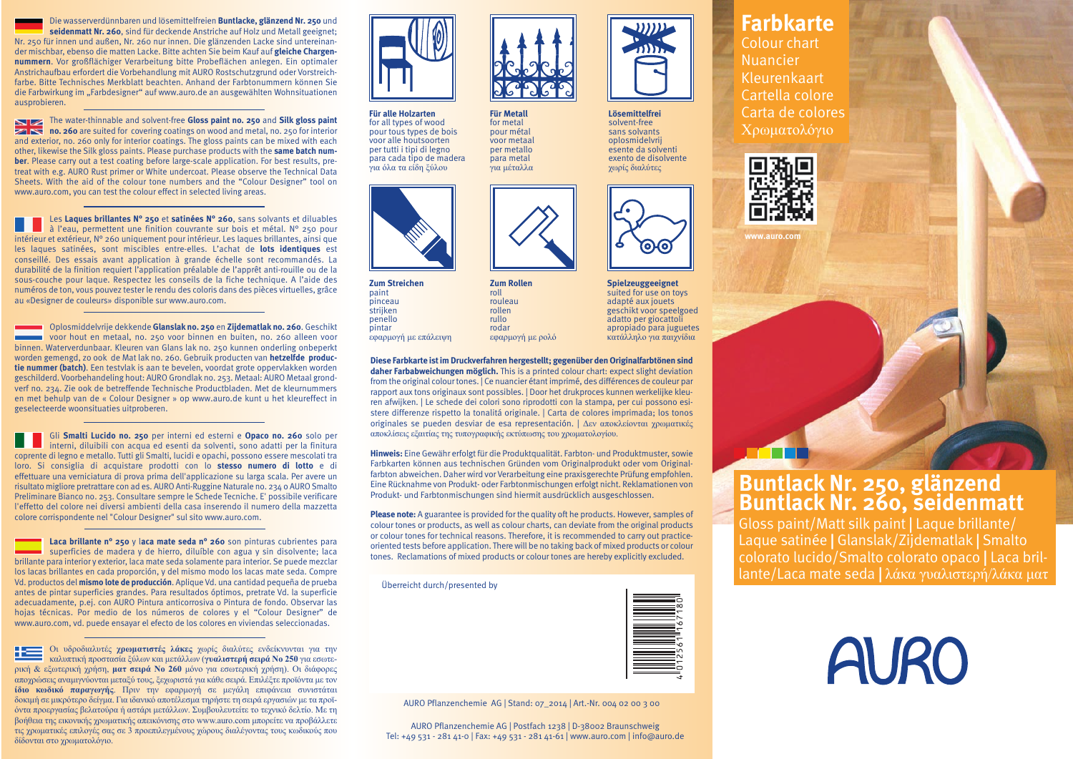Die wasserverdünnbaren und lösemittelfreien **Buntlacke, glänzend Nr. 250** und **seidenmatt Nr. 260**, sind für deckende Anstriche auf Holz und Metall geeignet; Nr. 250 für innen und außen, Nr. 260 nur innen. Die glänzenden Lacke sind untereinander mischbar, ebenso die matten Lacke. Bitte achten Sie beim Kauf auf **gleiche Chargennummern**. Vor großflächiger Verarbeitung bitte Probeflächen anlegen. Ein optimaler Anstrichaufbau erfordert die Vorbehandlung mit AURO Rostschutzgrund oder Vorstreichfarbe. Bitte Technisches Merkblatt beachten. Anhand der Farbtonummern können Sie die Farbwirkung im "Farbdesigner" auf www.auro.de an ausgewählten Wohnsituationen ausprobieren.

The water-thinnable and solvent-free **Gloss paint no. 250** and **Silk gloss paint no. 260** are suited for covering coatings on wood and metal, no. 250 for interior and exterior, no. 260 only for interior coatings. The gloss paints can be mixed with each other, likewise the Silk gloss paints. Please purchase products with the **same batch number**. Please carry out a test coating before large-scale application. For best results, pretreat with e.g. AURO Rust primer or White undercoat. Please observe the Technical Data Sheets. With the aid of the colour tone numbers and the "Colour Designer" tool on www.auro.com, you can test the colour effect in selected living areas.

Les **Laques brillantes N° 250** et **satinées N° 260**, sans solvants et diluables à l'eau, permettent une finition couvrante sur bois et métal. N° 250 pour intérieur et extérieur, N° 260 uniquement pour intérieur. Les laques brillantes, ainsi que les laques satinées, sont miscibles entre-elles. L'achat de **lots identiques** est conseillé. Des essais avant application à grande échelle sont recommandés. La durabilité de la finition requiert l'application préalable de l'apprêt anti-rouille ou de la sous-couche pour laque. Respectez les conseils de la fiche technique. A l'aide des numéros de ton, vous pouvez tester le rendu des coloris dans des pièces virtuelles, grâce au «Designer de couleurs» disponible sur www.auro.com.

Oplosmiddelvrije dekkende **Glanslak no. 250** en **Zijdematlak no. 260**. Geschikt voor hout en metaal, no. 250 voor binnen en buiten, no. 260 alleen voor binnen. Waterverdunbaar. Kleuren van Glans lak no. 250 kunnen onderling onbeperkt worden gemengd, zo ook de Mat lak no. 260. Gebruik producten van **hetzelfde productie nummer (batch)**. Een testvlak is aan te bevelen, voordat grote oppervlakken worden geschilderd. Voorbehandeling hout: AURO Grondlak no. 253. Metaal: AURO Metaal grondverf no. 234. Zie ook de betreffende Technische Productbladen. Met de kleurnummers en met behulp van de « Colour Designer » op www.auro.de kunt u het kleureffect in geselecteerde woonsituaties uitproberen.

Gli **Smalti Lucido no. 250** per interni ed esterni e **Opaco no. 260** solo per interni, diluibili con acqua ed esenti da solventi, sono adatti per la finitura coprente di legno e metallo. Tutti gli Smalti, lucidi e opachi, possono essere mescolati tra loro. Si consiglia di acquistare prodotti con lo **stesso numero di lotto** e di effettuare una verniciatura di prova prima dell'applicazione su larga scala. Per avere un risultato migliore pretrattare con ad es. AURO Anti-Ruggine Naturale no. 234 o AURO Smalto Preliminare Bianco no. 253. Consultare sempre le Schede Tecniche. E' possibile verificare l'effetto del colore nei diversi ambienti della casa inserendo il numero della mazzetta colore corrispondente nel "Colour Designer" sul sito www.auro.com.

**Laca brillante n° 250** y l**aca mate seda n° 260** son pinturas cubrientes para superficies de madera y de hierro, diluíble con agua y sin disolvente; laca brillante para interior y exterior, laca mate seda solamente para interior. Se puede mezclar los lacas brillantes en cada proporción, y del mismo modo los lacas mate seda. Compre Vd. productos del **mismo lote de producción**. Aplique Vd. una cantidad pequeña de prueba antes de pintar superficies grandes. Para resultados óptimos, pretrate Vd. la superficie adecuadamente, p.ej. con AURO Pintura anticorrosiva o Pintura de fondo. Observar las hojas técnicas. Por medio de los números de colores y el "Colour Designer" de www.auro.com, vd. puede ensayar el efecto de los colores en viviendas seleccionadas.

Οι υδροδιαλυτές **χρωματιστές λάκες** χωρίς διαλύτες ενδείκνυνται για την καλυπτική προστασία ξύλων και μετάλλων (**γυαλιστερή σειρά Νο 250** για εσωτερική & εξωτερική χρήση, **ματ σειρά Νο 260** μόνο για εσωτερική χρήση). Οι διάφορες αποχρώσεις αναμιγνύονται μεταξύ τους, ξεχωριστά για κάθε σειρά. Επιλέξτε προϊόντα με τον **ίδιο κωδικό παραγωγής**. Πριν την εφαρμογή σε μεγάλη επιφάνεια συνιστάται δοκιμή σε μικρότερο δείγμα. Για ιδανικό αποτέλεσμα τηρήστε τη σειρά εργασιών με τα προϊόντα προεργασίας βελατούρα ή αστάρι μετάλλων. Συμβουλευτείτε το τεχνικό δελτίο. Με τη βοήθεια της εικονικής χρωματικής απεικόνισης στο www.auro.com μπορείτε να προβάλλετε τις χρωματικές επιλογές σας σε 3 προεπιλεγμένους χώρους διαλέγοντας τους κωδικούς που δίδονται στο χρωματολόγιο.



**Für alle Holzarten** for all types of wood pour tous types de bois voor alle houtsoorten per tutti i tipi di legno para cada tipo de madera για όλα τα είδη ξύλου



**Zum Streichen** paint pinceau strijken penello pintar εφαρμογή με επάλειψη

**Diese Farbkarte ist im Druckverfahren hergestellt; gegenüber den Originalfarbtönen sind daher Farbabweichungen möglich.** This is a printed colour chart: expect slight deviation from the original colour tones. | Ce nuancier étant imprimé, des différences de couleur par rapport aux tons originaux sont possibles. | Door het drukproces kunnen werkelijke kleuren afwijken. | Le schede dei colori sono riprodotti con la stampa, per cui possono esistere differenze rispetto la tonalitá originale. | Carta de colores imprimada; los tonos originales se pueden desviar de esa representación. | Δεν αποκλείονται χρωματικές αποκλίσεις εξαιτίας της τυπογραφικής εκτύπωσης του χρωματολογίου.

**Für Metall** for metal pour métal voor metaal per metallo para metal για μέταλλα

**Zum Rollen** roll rouleau rollen rullo rodar εφαρμογή με ρολό

**Hinweis:** Eine Gewähr erfolgt für die Produktqualität. Farbton- und Produktmuster, sowie Farbkarten können aus technischen Gründen vom Originalprodukt oder vom Originalfarbton abweichen. Daher wird vor Verarbeitung eine praxisgerechte Prüfung empfohlen. Eine Rücknahme von Produkt- oder Farbtonmischungen erfolgt nicht. Reklamationen von Produkt- und Farbtonmischungen sind hiermit ausdrücklich ausgeschlossen.

**Please note:** A guarantee is provided for the quality oft he products. However, samples of colour tones or products, as well as colour charts, can deviate from the original products or colour tones for technical reasons. Therefore, it is recommended to carry out practiceoriented tests before application. There will be no taking back of mixed products or colour tones. Reclamations of mixed products or colour tones are hereby explicitly excluded.

Überreicht durch/presented by



**Lösemittelfrei** solvent-free sans solvants oplosmidelvrij esente da solventi exento de disolvente χωρίς διαλύτες

**Spielzeuggeeignet** suited for use on toys adapté aux jouets geschikt voor speelgoed adatto per giocattoli apropiado para juguetes κατάλληλο για παιχνίδια

᠊ᢙ ၜ

AURO Pflanzenchemie AG | Stand: 07\_2014 | Art.-Nr. 004 02 00 3 00

AURO Pflanzenchemie AG | Postfach 1238 | D-38002 Braunschweig Tel: +49 531 - 281 41-0 | Fax: +49 531 - 281 41-61 | www.auro.com | info@auro.de

## **Farbkarte**

Colour chart Nuancier Kleurenkaart Cartella colore Carta de colores Χρωματολόγιο



**www.auro.com**



Gloss paint/Matt silk paint | Laque brillante/ Laque satinée | Glanslak/Zijdematlak | Smalto colorato lucido/Smalto colorato opaco | Laca brillante/Laca mate seda | λάκα γυαλιστερή/λάκα ματ

|  | <b>AURO</b> |
|--|-------------|
|--|-------------|